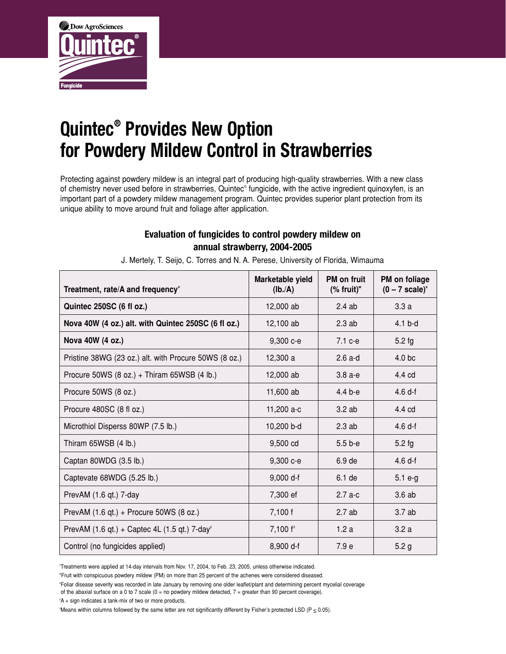

## **Quintec® Provides New Option for Powdery Mildew Control in Strawberries**

Protecting against powdery mildew is an integral part of producing high-quality strawberries. With a new class of chemistry never used before in strawberries, Quintec® fungicide, with the active ingredient quinoxyfen, is an important part of a powdery mildew management program. Quintec provides superior plant protection from its unique ability to move around fruit and foliage after application.

## **Evaluation of fungicides to control powdery mildew on annual strawberry, 2004-2005**

| Treatment, rate/A and frequency <sup>v</sup>                  | Marketable yield<br>(Ib./A) | <b>PM</b> on fruit<br>$(\%$ fruit)" | PM on foliage<br>$(0 - 7 scale)^x$ |
|---------------------------------------------------------------|-----------------------------|-------------------------------------|------------------------------------|
| Quintec 250SC (6 fl oz.)                                      | 12,000 ab                   | 2.4ab                               | 3.3a                               |
| Nova 40W (4 oz.) alt. with Quintec 250SC (6 fl oz.)           | 12,100 ab                   | $2.3$ ab                            | $4.1b-d$                           |
| Nova 40W (4 oz.)                                              | 9,300 с-е                   | $7.1 c-e$                           | $5.2$ fg                           |
| Pristine 38WG (23 oz.) alt. with Procure 50WS (8 oz.)         | 12,300 a                    | $2.6$ a-d                           | 4.0 <sub>bc</sub>                  |
| Procure 50WS $(8 oz.) + Thiram 65WSB (4 lb.)$                 | 12,000 ab                   | $3.8a-e$                            | 4.4 cd                             |
| Procure 50WS (8 oz.)                                          | 11,600 ab                   | 4.4 b-e                             | 4.6df                              |
| Procure 480SC (8 fl oz.)                                      | 11,200 a-c                  | 3.2ab                               | 4.4 cd                             |
| Microthiol Disperss 80WP (7.5 lb.)                            | 10,200 b-d                  | $2.3$ ab                            | 4.6 <sub>df</sub>                  |
| Thiram 65WSB (4 lb.)                                          | 9,500 cd                    | $5.5b-e$                            | $5.2$ fg                           |
| Captan 80WDG (3.5 lb.)                                        | 9,300 с-е                   | 6.9 de                              | 4.6df                              |
| Captevate 68WDG (5.25 lb.)                                    | $9,000 d-f$                 | 6.1 de                              | $5.1$ e-g                          |
| PrevAM (1.6 qt.) 7-day                                        | 7,300 ef                    | $2.7a-c$                            | 3.6ab                              |
| PrevAM (1.6 qt.) + Procure 50WS (8 oz.)                       | 7,100 f                     | 2.7ab                               | 3.7ab                              |
| PrevAM $(1.6$ qt.) + Captec 4L $(1.5$ qt.) 7-day <sup>y</sup> | 7,100 f <sup>z</sup>        | 1.2a                                | 3.2a                               |
| Control (no fungicides applied)                               | 8,900 d-f                   | 7.9 <sub>e</sub>                    | 5.2 <sub>g</sub>                   |

J. Mertely, T. Seijo, C. Torres and N. A. Perese, University of Florida, Wimauma

v Treatments were applied at 14-day intervals from Nov. 17, 2004, to Feb. 23, 2005, unless otherwise indicated.

w Fruit with conspicuous powdery mildew (PM) on more than 25 percent of the achenes were considered diseased.

x Foliar disease severity was recorded in late January by removing one older leaflet/plant and determining percent mycelial coverage

of the abaxial surface on a 0 to 7 scale (0 = no powdery mildew detected, 7 = greater than 90 percent coverage).

y A + sign indicates a tank-mix of two or more products.

Means within columns followed by the same letter are not significantly different by Fisher's protected LSD ( $P \le 0.05$ ).